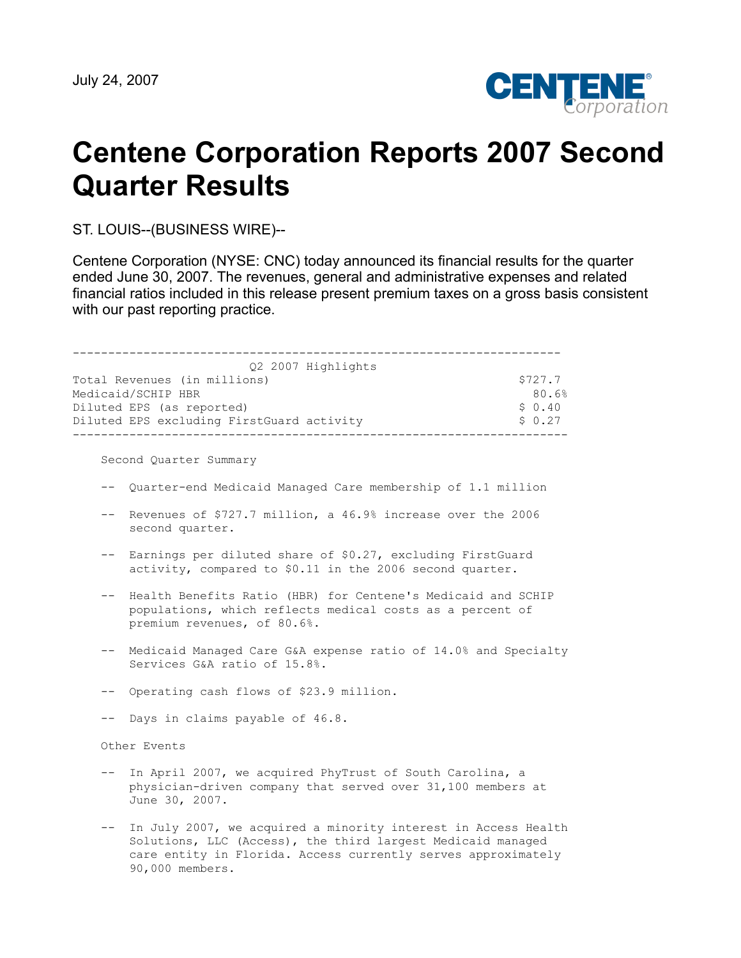

# **Centene Corporation Reports 2007 Second Quarter Results**

ST. LOUIS--(BUSINESS WIRE)--

Centene Corporation (NYSE: CNC) today announced its financial results for the quarter ended June 30, 2007. The revenues, general and administrative expenses and related financial ratios included in this release present premium taxes on a gross basis consistent with our past reporting practice.

| Q2 2007 Highlights                        |         |
|-------------------------------------------|---------|
| Total Revenues (in millions)              | \$727.7 |
| Medicaid/SCHIP HBR                        | 80.6%   |
| Diluted EPS (as reported)                 | \$0.40  |
| Diluted EPS excluding FirstGuard activity | \$0.27  |
|                                           |         |

Second Quarter Summary

- -- Quarter-end Medicaid Managed Care membership of 1.1 million
- -- Revenues of \$727.7 million, a 46.9% increase over the 2006 second quarter.
- -- Earnings per diluted share of \$0.27, excluding FirstGuard activity, compared to \$0.11 in the 2006 second quarter.
- -- Health Benefits Ratio (HBR) for Centene's Medicaid and SCHIP populations, which reflects medical costs as a percent of premium revenues, of 80.6%.
- -- Medicaid Managed Care G&A expense ratio of 14.0% and Specialty Services G&A ratio of 15.8%.
- -- Operating cash flows of \$23.9 million.
- -- Days in claims payable of 46.8.

Other Events

- -- In April 2007, we acquired PhyTrust of South Carolina, a physician-driven company that served over 31,100 members at June 30, 2007.
- -- In July 2007, we acquired a minority interest in Access Health Solutions, LLC (Access), the third largest Medicaid managed care entity in Florida. Access currently serves approximately 90,000 members.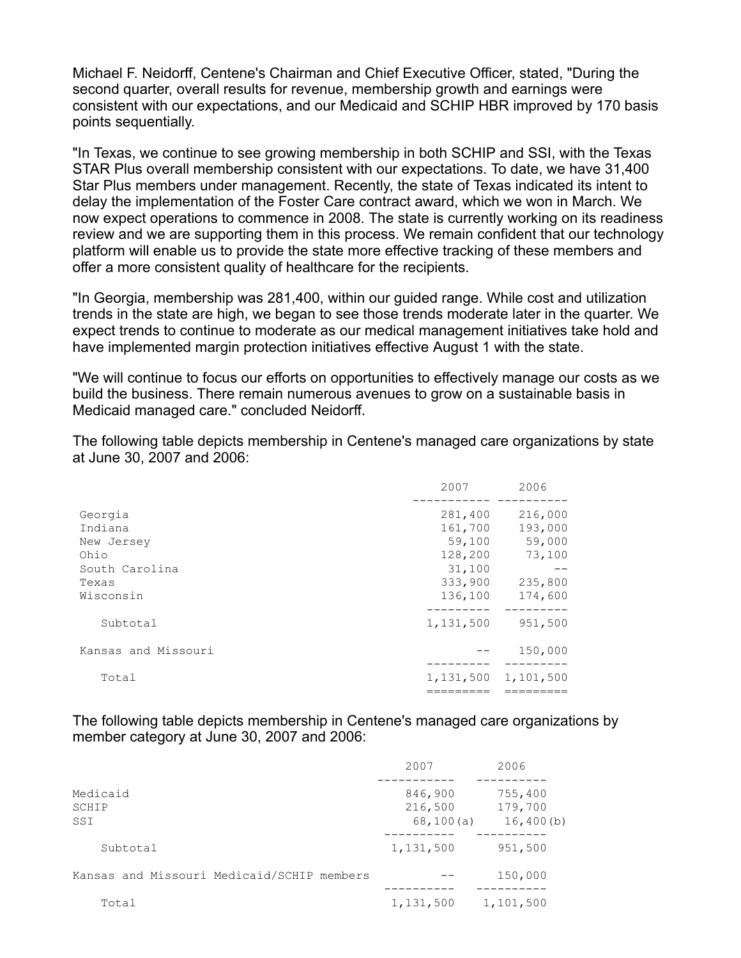Michael F. Neidorff, Centene's Chairman and Chief Executive Officer, stated, "During the second quarter, overall results for revenue, membership growth and earnings were consistent with our expectations, and our Medicaid and SCHIP HBR improved by 170 basis points sequentially.

"In Texas, we continue to see growing membership in both SCHIP and SSI, with the Texas STAR Plus overall membership consistent with our expectations. To date, we have 31,400 Star Plus members under management. Recently, the state of Texas indicated its intent to delay the implementation of the Foster Care contract award, which we won in March. We now expect operations to commence in 2008. The state is currently working on its readiness review and we are supporting them in this process. We remain confident that our technology platform will enable us to provide the state more effective tracking of these members and offer a more consistent quality of healthcare for the recipients.

"In Georgia, membership was 281,400, within our guided range. While cost and utilization trends in the state are high, we began to see those trends moderate later in the quarter. We expect trends to continue to moderate as our medical management initiatives take hold and have implemented margin protection initiatives effective August 1 with the state.

"We will continue to focus our efforts on opportunities to effectively manage our costs as we build the business. There remain numerous avenues to grow on a sustainable basis in Medicaid managed care." concluded Neidorff.

The following table depicts membership in Centene's managed care organizations by state at June 30, 2007 and 2006:

|                     | 2007      | 2006      |
|---------------------|-----------|-----------|
| Georgia             | 281,400   | 216,000   |
| Indiana             | 161,700   | 193,000   |
| New Jersey          | 59,100    | 59,000    |
| Ohio                | 128,200   | 73,100    |
| South Carolina      | 31,100    | --        |
| Texas               | 333,900   | 235,800   |
| Wisconsin           | 136,100   | 174,600   |
| Subtotal            | 1,131,500 | 951,500   |
| Kansas and Missouri |           | 150,000   |
| Total               | 1,131,500 | 1,101,500 |
|                     |           |           |

The following table depicts membership in Centene's managed care organizations by member category at June 30, 2007 and 2006:

|                                            | 2007                             | 2006                            |
|--------------------------------------------|----------------------------------|---------------------------------|
| Medicaid<br>SCHIP<br>SSI                   | 846,900<br>216,500<br>68, 100(a) | 755,400<br>179,700<br>16,400(b) |
| Subtotal                                   | 1,131,500                        | 951,500                         |
| Kansas and Missouri Medicaid/SCHIP members |                                  | 150,000                         |
| Total                                      | 1,131,500                        | 1,101,500                       |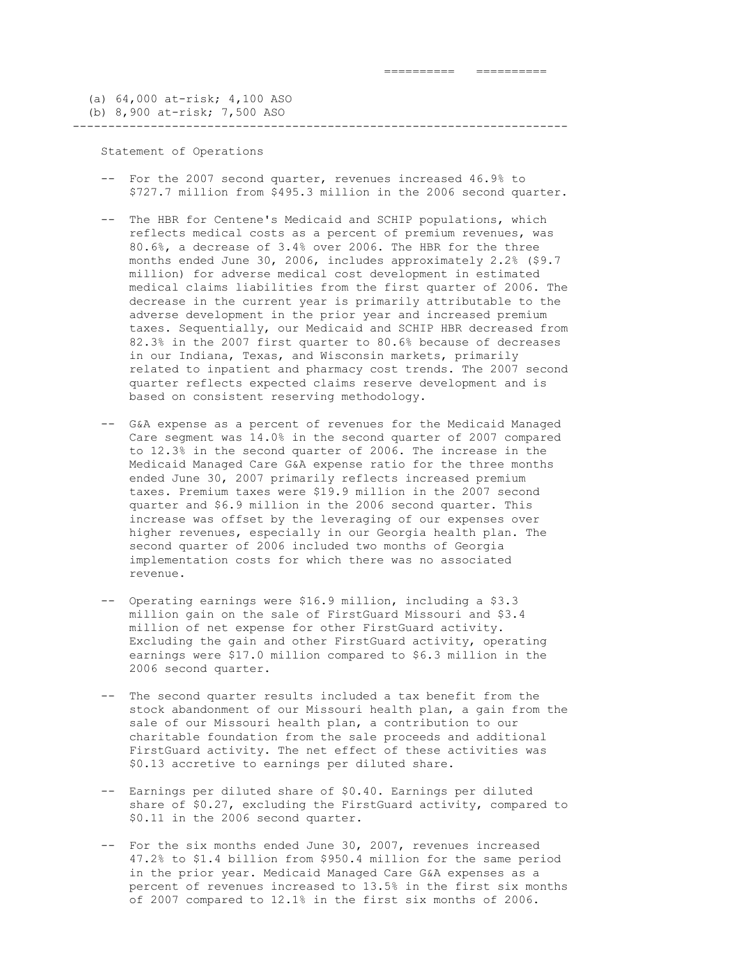(a) 64,000 at-risk; 4,100 ASO (b) 8,900 at-risk; 7,500 ASO

#### ----------------------------------------------------------------------

Statement of Operations

- -- For the 2007 second quarter, revenues increased 46.9% to \$727.7 million from \$495.3 million in the 2006 second quarter.
- -- The HBR for Centene's Medicaid and SCHIP populations, which reflects medical costs as a percent of premium revenues, was 80.6%, a decrease of 3.4% over 2006. The HBR for the three months ended June 30, 2006, includes approximately 2.2% (\$9.7 million) for adverse medical cost development in estimated medical claims liabilities from the first quarter of 2006. The decrease in the current year is primarily attributable to the adverse development in the prior year and increased premium taxes. Sequentially, our Medicaid and SCHIP HBR decreased from 82.3% in the 2007 first quarter to 80.6% because of decreases in our Indiana, Texas, and Wisconsin markets, primarily related to inpatient and pharmacy cost trends. The 2007 second quarter reflects expected claims reserve development and is based on consistent reserving methodology.
- -- G&A expense as a percent of revenues for the Medicaid Managed Care segment was 14.0% in the second quarter of 2007 compared to 12.3% in the second quarter of 2006. The increase in the Medicaid Managed Care G&A expense ratio for the three months ended June 30, 2007 primarily reflects increased premium taxes. Premium taxes were \$19.9 million in the 2007 second quarter and \$6.9 million in the 2006 second quarter. This increase was offset by the leveraging of our expenses over higher revenues, especially in our Georgia health plan. The second quarter of 2006 included two months of Georgia implementation costs for which there was no associated revenue.
- -- Operating earnings were \$16.9 million, including a \$3.3 million gain on the sale of FirstGuard Missouri and \$3.4 million of net expense for other FirstGuard activity. Excluding the gain and other FirstGuard activity, operating earnings were \$17.0 million compared to \$6.3 million in the 2006 second quarter.
- -- The second quarter results included a tax benefit from the stock abandonment of our Missouri health plan, a gain from the sale of our Missouri health plan, a contribution to our charitable foundation from the sale proceeds and additional FirstGuard activity. The net effect of these activities was \$0.13 accretive to earnings per diluted share.
- -- Earnings per diluted share of \$0.40. Earnings per diluted share of \$0.27, excluding the FirstGuard activity, compared to \$0.11 in the 2006 second quarter.
- -- For the six months ended June 30, 2007, revenues increased 47.2% to \$1.4 billion from \$950.4 million for the same period in the prior year. Medicaid Managed Care G&A expenses as a percent of revenues increased to 13.5% in the first six months of 2007 compared to 12.1% in the first six months of 2006.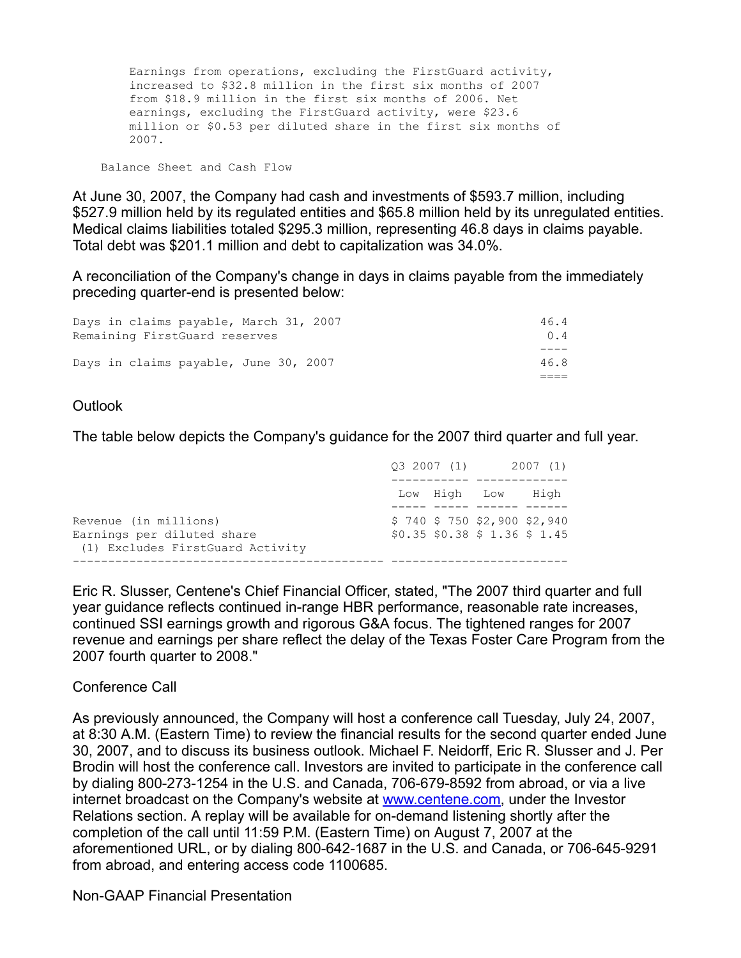Earnings from operations, excluding the FirstGuard activity, increased to \$32.8 million in the first six months of 2007 from \$18.9 million in the first six months of 2006. Net earnings, excluding the FirstGuard activity, were \$23.6 million or \$0.53 per diluted share in the first six months of 2007.

Balance Sheet and Cash Flow

At June 30, 2007, the Company had cash and investments of \$593.7 million, including \$527.9 million held by its regulated entities and \$65.8 million held by its unregulated entities. Medical claims liabilities totaled \$295.3 million, representing 46.8 days in claims payable. Total debt was \$201.1 million and debt to capitalization was 34.0%.

A reconciliation of the Company's change in days in claims payable from the immediately preceding quarter-end is presented below:

| Days in claims payable, March 31, 2007<br>Remaining FirstGuard reserves | 46.4<br>0.4 |
|-------------------------------------------------------------------------|-------------|
| Days in claims payable, June 30, 2007                                   | 46.8        |
|                                                                         |             |

## **Outlook**

The table below depicts the Company's guidance for the 2007 third quarter and full year.

|                                                                                         |  | 03 2007 (1) 2007 (1)                                            |  |  |
|-----------------------------------------------------------------------------------------|--|-----------------------------------------------------------------|--|--|
|                                                                                         |  | Low High Low High                                               |  |  |
| Revenue (in millions)<br>Earnings per diluted share<br>(1) Excludes FirstGuard Activity |  | $$740$ \$ 750 \$2,900 \$2,940<br>$$0.35$ \$0.38 \$ 1.36 \$ 1.45 |  |  |
|                                                                                         |  |                                                                 |  |  |

Eric R. Slusser, Centene's Chief Financial Officer, stated, "The 2007 third quarter and full year guidance reflects continued in-range HBR performance, reasonable rate increases, continued SSI earnings growth and rigorous G&A focus. The tightened ranges for 2007 revenue and earnings per share reflect the delay of the Texas Foster Care Program from the 2007 fourth quarter to 2008."

## Conference Call

As previously announced, the Company will host a conference call Tuesday, July 24, 2007, at 8:30 A.M. (Eastern Time) to review the financial results for the second quarter ended June 30, 2007, and to discuss its business outlook. Michael F. Neidorff, Eric R. Slusser and J. Per Brodin will host the conference call. Investors are invited to participate in the conference call by dialing 800-273-1254 in the U.S. and Canada, 706-679-8592 from abroad, or via a live internet broadcast on the Company's website at [www.centene.com,](http://www.centene.com/) under the Investor Relations section. A replay will be available for on-demand listening shortly after the completion of the call until 11:59 P.M. (Eastern Time) on August 7, 2007 at the aforementioned URL, or by dialing 800-642-1687 in the U.S. and Canada, or 706-645-9291 from abroad, and entering access code 1100685.

Non-GAAP Financial Presentation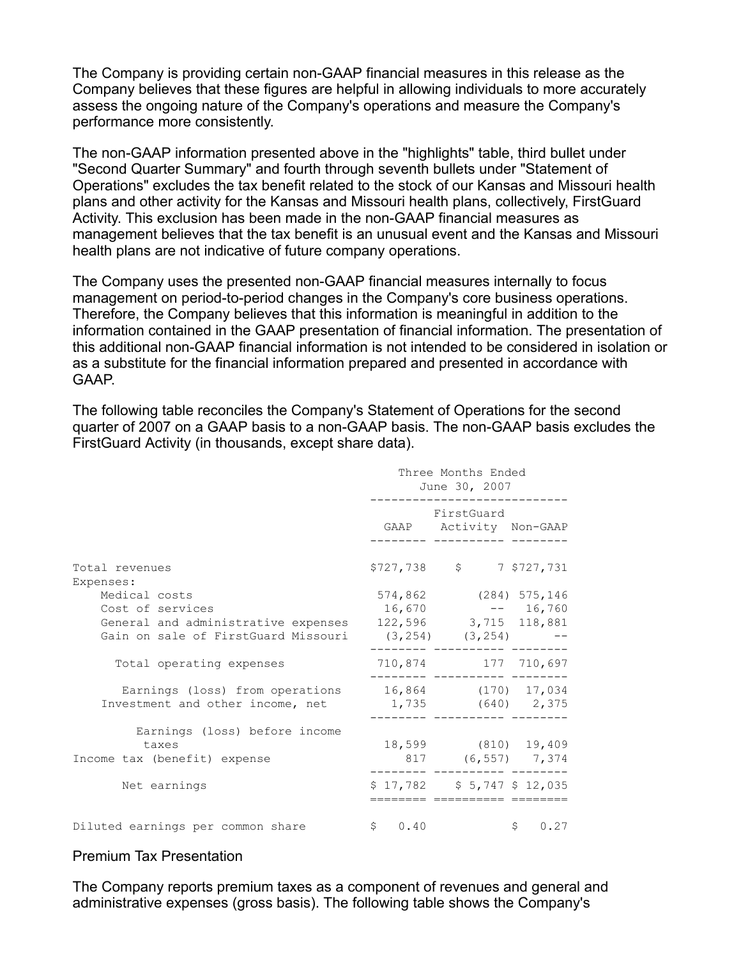The Company is providing certain non-GAAP financial measures in this release as the Company believes that these figures are helpful in allowing individuals to more accurately assess the ongoing nature of the Company's operations and measure the Company's performance more consistently.

The non-GAAP information presented above in the "highlights" table, third bullet under "Second Quarter Summary" and fourth through seventh bullets under "Statement of Operations" excludes the tax benefit related to the stock of our Kansas and Missouri health plans and other activity for the Kansas and Missouri health plans, collectively, FirstGuard Activity. This exclusion has been made in the non-GAAP financial measures as management believes that the tax benefit is an unusual event and the Kansas and Missouri health plans are not indicative of future company operations.

The Company uses the presented non-GAAP financial measures internally to focus management on period-to-period changes in the Company's core business operations. Therefore, the Company believes that this information is meaningful in addition to the information contained in the GAAP presentation of financial information. The presentation of this additional non-GAAP financial information is not intended to be considered in isolation or as a substitute for the financial information prepared and presented in accordance with GAAP.

The following table reconciles the Company's Statement of Operations for the second quarter of 2007 on a GAAP basis to a non-GAAP basis. The non-GAAP basis excludes the FirstGuard Activity (in thousands, except share data).

|                                                                                         | Three Months Ended<br>June 30, 2007 |                                                                        |        |  |  |  |
|-----------------------------------------------------------------------------------------|-------------------------------------|------------------------------------------------------------------------|--------|--|--|--|
|                                                                                         |                                     | FirstGuard<br>GAAP Activity Non-GAAP                                   |        |  |  |  |
| Total revenues<br>Expenses:                                                             |                                     | \$727,738 \$ 7 \$727,731                                               |        |  |  |  |
| Medical costs<br>Cost of services<br>General and administrative expenses                |                                     | 574,862 (284) 575,146<br>$16,670$ -- $16,760$<br>122,596 3,715 118,881 |        |  |  |  |
| Gain on sale of FirstGuard Missouri<br>Total operating expenses                         |                                     | $(3, 254)$ $(3, 254)$ --<br>710,874 177 710,697                        |        |  |  |  |
| Earnings (loss) from operations 16,864 (170) 17,034<br>Investment and other income, net |                                     | $1,735$ (640) $2,375$                                                  |        |  |  |  |
| Earnings (loss) before income<br>taxes<br>Income tax (benefit) expense                  |                                     | 18,599 (810) 19,409<br>817 (6,557) 7,374                               |        |  |  |  |
| Net earnings                                                                            |                                     | $$17,782$ $$5,747$ $$12,035$<br>====== ========== ====                 |        |  |  |  |
| Diluted earnings per common share                                                       | \$0.40                              |                                                                        | \$0.27 |  |  |  |

### Premium Tax Presentation

The Company reports premium taxes as a component of revenues and general and administrative expenses (gross basis). The following table shows the Company's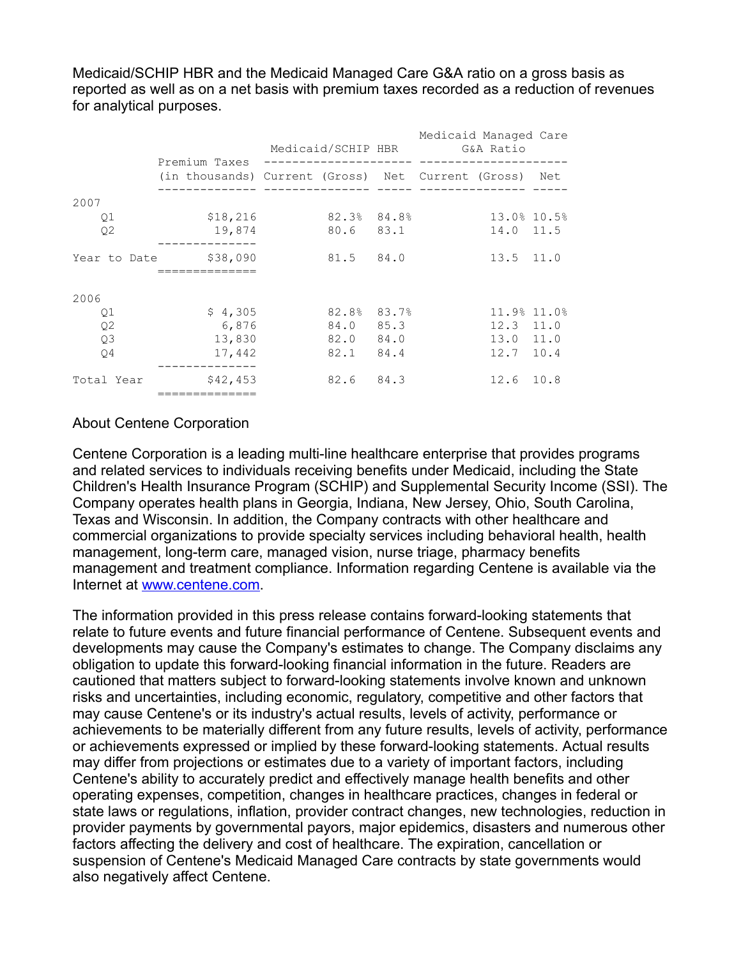Medicaid/SCHIP HBR and the Medicaid Managed Care G&A ratio on a gross basis as reported as well as on a net basis with premium taxes recorded as a reduction of revenues for analytical purposes.

|                | Premium Taxes                                          | Medicaid/SCHIP HBR G&A Ratio |             | Medicaid Managed Care |               |  |
|----------------|--------------------------------------------------------|------------------------------|-------------|-----------------------|---------------|--|
|                | (in thousands) Current (Gross) Net Current (Gross) Net |                              |             |                       |               |  |
| 2007           |                                                        |                              |             |                       |               |  |
| Q1             | \$18,216                                               |                              | 82.3% 84.8% |                       | 13.0% 10.5%   |  |
| Q <sub>2</sub> | 19,874                                                 |                              | 80.6 83.1   |                       | 14.0 11.5     |  |
| Year to Date   | \$38,090                                               |                              | 81.5 84.0   |                       | 13.5 11.0     |  |
|                |                                                        |                              |             |                       |               |  |
| 2006           |                                                        |                              |             |                       |               |  |
| Q1             | \$4,305                                                |                              | 82.8% 83.7% |                       | 11.9% 11.0%   |  |
| Q <sub>2</sub> | 6,876                                                  |                              | 84.0 85.3   |                       | $12.3$ $11.0$ |  |
| Q <sub>3</sub> | 13,830                                                 |                              | 82.0 84.0   |                       | 13.0 11.0     |  |
| Q4             | 17,442                                                 |                              | 82.1 84.4   |                       | $12.7$ 10.4   |  |
| Total Year     | \$42,453                                               |                              | 82.6 84.3   |                       | 12.6 10.8     |  |

## About Centene Corporation

Centene Corporation is a leading multi-line healthcare enterprise that provides programs and related services to individuals receiving benefits under Medicaid, including the State Children's Health Insurance Program (SCHIP) and Supplemental Security Income (SSI). The Company operates health plans in Georgia, Indiana, New Jersey, Ohio, South Carolina, Texas and Wisconsin. In addition, the Company contracts with other healthcare and commercial organizations to provide specialty services including behavioral health, health management, long-term care, managed vision, nurse triage, pharmacy benefits management and treatment compliance. Information regarding Centene is available via the Internet at [www.centene.com](http://www.centene.com/).

The information provided in this press release contains forward-looking statements that relate to future events and future financial performance of Centene. Subsequent events and developments may cause the Company's estimates to change. The Company disclaims any obligation to update this forward-looking financial information in the future. Readers are cautioned that matters subject to forward-looking statements involve known and unknown risks and uncertainties, including economic, regulatory, competitive and other factors that may cause Centene's or its industry's actual results, levels of activity, performance or achievements to be materially different from any future results, levels of activity, performance or achievements expressed or implied by these forward-looking statements. Actual results may differ from projections or estimates due to a variety of important factors, including Centene's ability to accurately predict and effectively manage health benefits and other operating expenses, competition, changes in healthcare practices, changes in federal or state laws or regulations, inflation, provider contract changes, new technologies, reduction in provider payments by governmental payors, major epidemics, disasters and numerous other factors affecting the delivery and cost of healthcare. The expiration, cancellation or suspension of Centene's Medicaid Managed Care contracts by state governments would also negatively affect Centene.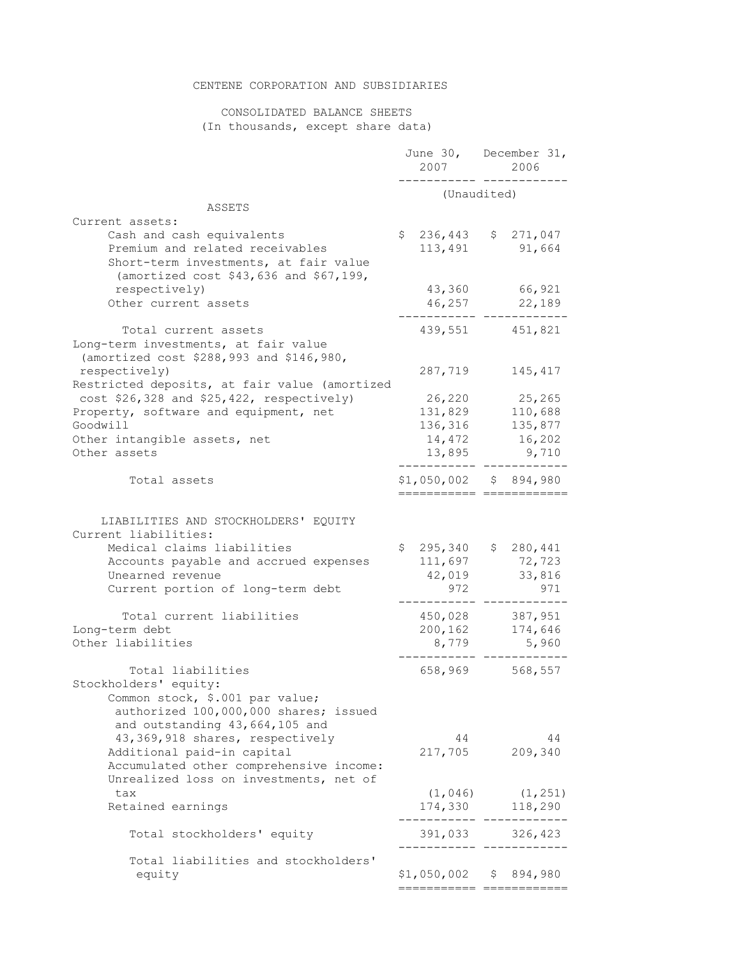### CENTENE CORPORATION AND SUBSIDIARIES

#### CONSOLIDATED BALANCE SHEETS (In thousands, except share data)

|                                                                                                                                                                                              | 2007                                             | June 30, December 31,<br>2006                   |
|----------------------------------------------------------------------------------------------------------------------------------------------------------------------------------------------|--------------------------------------------------|-------------------------------------------------|
|                                                                                                                                                                                              | (Unaudited)                                      |                                                 |
| ASSETS<br>Current assets:                                                                                                                                                                    |                                                  |                                                 |
| Cash and cash equivalents<br>Premium and related receivables<br>Short-term investments, at fair value<br>(amortized cost \$43,636 and \$67,199,                                              | $$236,443$ $$271,047$<br>113,491                 | 91,664                                          |
| respectively)<br>Other current assets                                                                                                                                                        | 43,360<br>46,257                                 | 66,921<br>22,189                                |
| Total current assets<br>Long-term investments, at fair value<br>(amortized cost \$288,993 and \$146,980,                                                                                     | 439,551                                          | 451,821                                         |
| respectively)<br>Restricted deposits, at fair value (amortized                                                                                                                               | 287,719                                          | 145,417                                         |
| $cost$ \$26,328 and \$25,422, respectively)<br>Property, software and equipment, net<br>Goodwill<br>Other intangible assets, net<br>Other assets                                             | 26,220<br>131,829<br>136,316<br>14,472<br>13,895 | 25,265<br>110,688<br>135,877<br>16,202<br>9,710 |
| Total assets                                                                                                                                                                                 | $$1,050,002$ $$894,980$<br>===================== |                                                 |
| LIABILITIES AND STOCKHOLDERS' EQUITY<br>Current liabilities:<br>Medical claims liabilities<br>Accounts payable and accrued expenses<br>Unearned revenue<br>Current portion of long-term debt | \$295,340<br>111,697<br>42,019<br>972            | \$280,441<br>72,723<br>33,816<br>971            |
| Total current liabilities<br>Long-term debt<br>Other liabilities                                                                                                                             | 450,028<br>200,162<br>8,779                      | 387,951<br>174,646<br>5,960                     |
| Total liabilities<br>Stockholders' equity:<br>Common stock, \$.001 par value;<br>authorized 100,000,000 shares; issued<br>and outstanding 43,664,105 and                                     | 658,969                                          | 568,557                                         |
| 43,369,918 shares, respectively<br>Additional paid-in capital<br>Accumulated other comprehensive income:                                                                                     | 44<br>217,705                                    | 44<br>209,340                                   |
| Unrealized loss on investments, net of<br>tax<br>Retained earnings                                                                                                                           | (1, 046)<br>174,330                              | (1, 251)<br>118,290                             |
| Total stockholders' equity                                                                                                                                                                   | 391,033                                          | 326,423                                         |
| Total liabilities and stockholders'<br>equity                                                                                                                                                | $$1,050,002$ $$894,980$                          |                                                 |
|                                                                                                                                                                                              |                                                  |                                                 |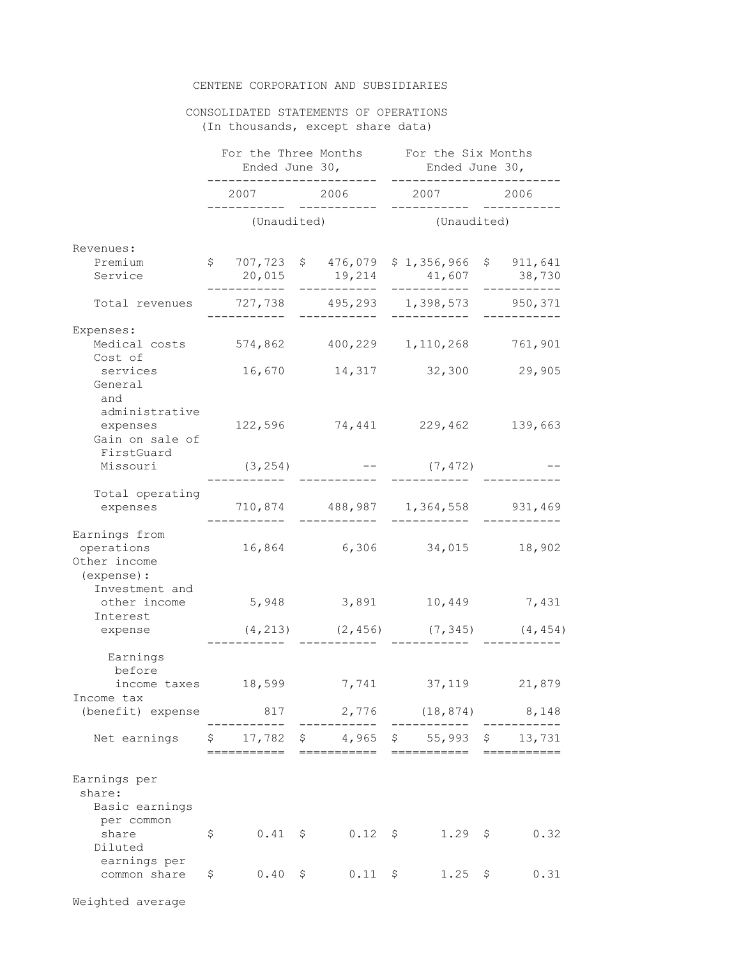#### CENTENE CORPORATION AND SUBSIDIARIES

#### CONSOLIDATED STATEMENTS OF OPERATIONS (In thousands, except share data)

|                                                            | For the Three Months<br>Ended June 30, |  |                                                       | For the Six Months<br>Ended June 30, |    |                     |  |
|------------------------------------------------------------|----------------------------------------|--|-------------------------------------------------------|--------------------------------------|----|---------------------|--|
|                                                            | 2007                                   |  | 2006                                                  |                                      |    | 2006                |  |
|                                                            | (Unaudited)                            |  |                                                       | (Unaudited)                          |    |                     |  |
| Revenues:<br>Premium<br>Service                            | \$707,723<br>20,015<br>. _ _ _ _ _ _ _ |  | \$476,079<br>19,214<br>-----------                    | \$1,356,966<br>41,607<br>__________  |    | \$911,641<br>38,730 |  |
| Total revenues                                             | 727,738<br>.                           |  | 495,293                                               | 1,398,573                            |    | 950,371             |  |
| Expenses:<br>Medical costs<br>Cost of                      | 574,862                                |  | 400,229 1,110,268                                     |                                      |    | 761,901             |  |
| services<br>General<br>and                                 | 16,670                                 |  |                                                       | 14,317 32,300                        |    | 29,905              |  |
| administrative<br>expenses<br>Gain on sale of              | 122,596                                |  |                                                       | 74,441 229,462                       |    | 139,663             |  |
| FirstGuard<br>Missouri                                     | (3, 254)                               |  |                                                       | $-$ (7,472)                          |    |                     |  |
| Total operating<br>expenses                                |                                        |  | 710,874 488,987 1,364,558 931,469                     |                                      |    |                     |  |
| Earnings from<br>operations<br>Other income<br>(expense) : | 16,864                                 |  | 6,306                                                 | 34,015                               |    | 18,902              |  |
| Investment and<br>other income<br>Interest                 | 5,948                                  |  | 3,891                                                 | 10,449                               |    | 7,431               |  |
| expense                                                    |                                        |  | $(4, 213)$ $(2, 456)$ $(7, 345)$ $(4, 454)$           |                                      |    |                     |  |
| Earnings<br>before                                         |                                        |  |                                                       |                                      |    |                     |  |
| income taxes<br>Income tax                                 | 18,599                                 |  | 7,741                                                 | 37,119                               |    | 21,879              |  |
| (benefit) expense                                          |                                        |  | 817 2,776 (18,874) 8,148                              |                                      |    |                     |  |
| Net earnings                                               | :========                              |  | $$17,782$ \$ 4,965 \$ 55,993 \$ 13,731<br>=========== | ===========                          |    |                     |  |
| Earnings per<br>share:<br>Basic earnings<br>per common     |                                        |  |                                                       |                                      |    |                     |  |
| share<br>Diluted                                           | \$<br>$0.41 \frac{1}{2}$               |  | $0.12 \frac{1}{5}$                                    | $1.29$ \$                            |    | 0.32                |  |
| earnings per<br>common share                               | \$<br>$0.40 \frac{1}{5}$               |  | $0.11 \frac{1}{2}$                                    | 1.25                                 | Ş. | 0.31                |  |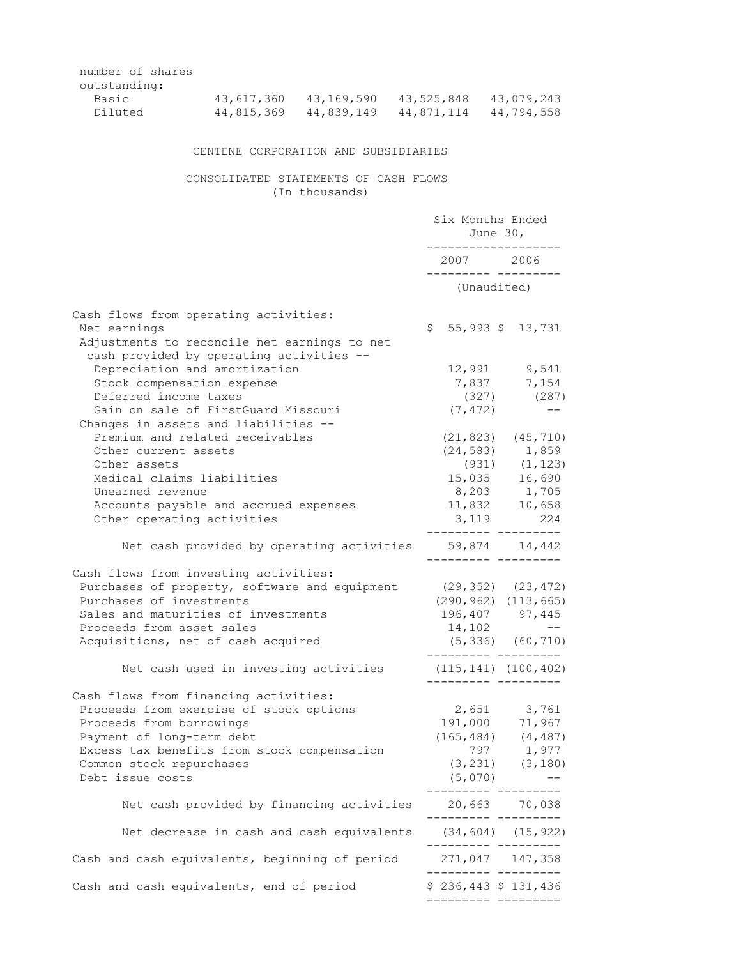| 43,617,360 | 43,169,590 | 43,525,848 | 43,079,243 |
|------------|------------|------------|------------|
| 44,815,369 | 44,839,149 | 44,871,114 | 44,794,558 |
|            |            |            |            |

## CENTENE CORPORATION AND SUBSIDIARIES

## CONSOLIDATED STATEMENTS OF CASH FLOWS (In thousands)

|                                                                                                       | Six Months Ended<br>June 30,<br>---------------                                           |                             |  |  |
|-------------------------------------------------------------------------------------------------------|-------------------------------------------------------------------------------------------|-----------------------------|--|--|
|                                                                                                       | 2007 2006<br>__________ _________                                                         |                             |  |  |
|                                                                                                       | (Unaudited)                                                                               |                             |  |  |
| Cash flows from operating activities:<br>Net earnings<br>Adjustments to reconcile net earnings to net | $$5,993$$ $$13,731$                                                                       |                             |  |  |
| cash provided by operating activities --                                                              |                                                                                           |                             |  |  |
| Depreciation and amortization<br>Stock compensation expense                                           |                                                                                           | 12,991 9,541<br>7,837 7,154 |  |  |
| Deferred income taxes                                                                                 |                                                                                           | $(327)$ $(287)$             |  |  |
| Gain on sale of FirstGuard Missouri<br>Changes in assets and liabilities --                           | (7, 472)                                                                                  | $- -$                       |  |  |
| Premium and related receivables                                                                       |                                                                                           | $(21, 823)$ $(45, 710)$     |  |  |
| Other current assets                                                                                  |                                                                                           | $(24, 583)$ 1,859           |  |  |
| Other assets                                                                                          |                                                                                           | $(931)$ $(1, 123)$          |  |  |
| Medical claims liabilities                                                                            |                                                                                           | 15,035 16,690               |  |  |
| Unearned revenue                                                                                      |                                                                                           | 8,203 1,705                 |  |  |
| Accounts payable and accrued expenses                                                                 | 11,832 10,658                                                                             |                             |  |  |
| Other operating activities                                                                            | $3,119$ 224                                                                               |                             |  |  |
| Net cash provided by operating activities 59,874 14,442                                               | __________ _________                                                                      |                             |  |  |
| Cash flows from investing activities:                                                                 |                                                                                           |                             |  |  |
| Purchases of property, software and equipment (29,352) (23,472)                                       |                                                                                           |                             |  |  |
| Purchases of investments                                                                              | $(290, 962)$ $(113, 665)$                                                                 |                             |  |  |
| Sales and maturities of investments                                                                   | 196,407 97,445                                                                            |                             |  |  |
| Proceeds from asset sales                                                                             | 14,102                                                                                    | $\sim$ $ -$                 |  |  |
| Acquisitions, net of cash acquired                                                                    | ._______ _______                                                                          | $(5, 336)$ $(60, 710)$      |  |  |
| Net cash used in investing activities                                                                 | $(115, 141)$ $(100, 402)$<br>__________ ____                                              |                             |  |  |
| Cash flows from financing activities:                                                                 |                                                                                           |                             |  |  |
| Proceeds from exercise of stock options                                                               | 2,651 3,761                                                                               |                             |  |  |
| Proceeds from borrowings                                                                              | $\begin{array}{ccc} 191,000 & 71,967 \\ (165,484) & (4,487) \\ & 797 & 1,977 \end{array}$ |                             |  |  |
| Payment of long-term debt                                                                             |                                                                                           |                             |  |  |
| Excess tax benefits from stock compensation                                                           |                                                                                           |                             |  |  |
| Common stock repurchases                                                                              |                                                                                           | $(3, 231)$ $(3, 180)$       |  |  |
| Debt issue costs                                                                                      | (5,070)<br>------                                                                         |                             |  |  |
| Net cash provided by financing activities                                                             | 20,663 70,038<br>.--------- --------                                                      |                             |  |  |
| Net decrease in cash and cash equivalents                                                             | $(34, 604)$ $(15, 922)$                                                                   |                             |  |  |
| Cash and cash equivalents, beginning of period                                                        | 271,047 147,358                                                                           |                             |  |  |
| Cash and cash equivalents, end of period                                                              | $$236,443$$ $$131,436$<br>========= =========                                             |                             |  |  |
|                                                                                                       |                                                                                           |                             |  |  |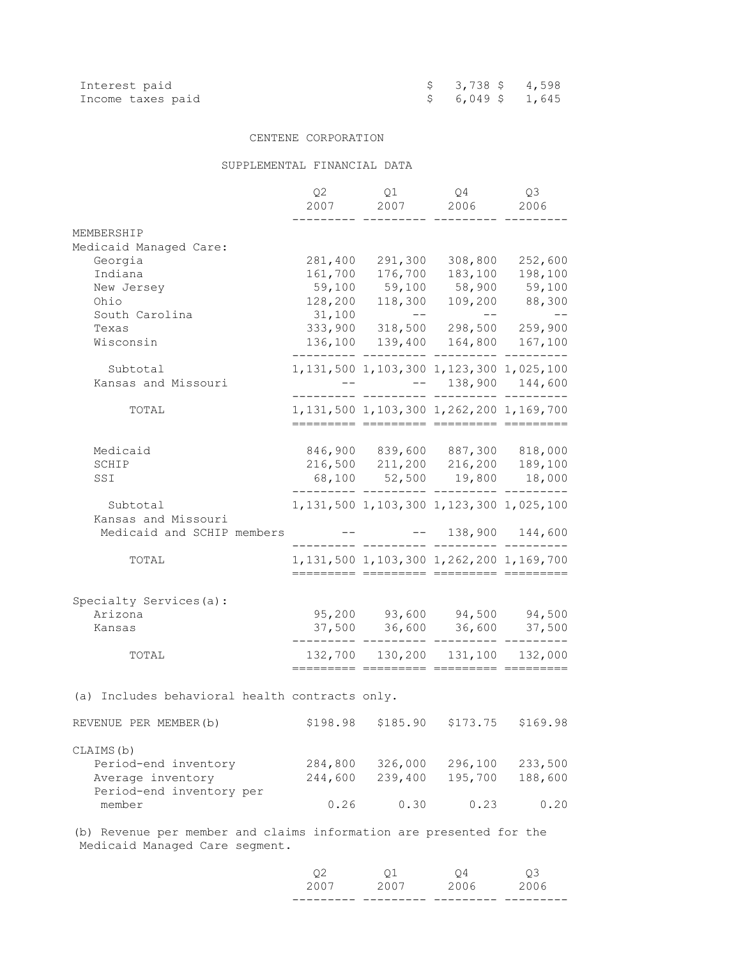| Interest paid     | $$3,738$ \$4,598  |  |
|-------------------|-------------------|--|
| Income taxes paid | $$6,049$$ $1,645$ |  |

#### CENTENE CORPORATION

## SUPPLEMENTAL FINANCIAL DATA

|                                                                        | Q <sub>2</sub><br>2007 | Q1<br>2007                                                                                                                                                                                                                                                                                                                                                                                                                                                                                         | Q4<br>2006             | Q3<br>2006      |
|------------------------------------------------------------------------|------------------------|----------------------------------------------------------------------------------------------------------------------------------------------------------------------------------------------------------------------------------------------------------------------------------------------------------------------------------------------------------------------------------------------------------------------------------------------------------------------------------------------------|------------------------|-----------------|
| MEMBERSHIP                                                             |                        |                                                                                                                                                                                                                                                                                                                                                                                                                                                                                                    |                        |                 |
| Medicaid Managed Care:                                                 |                        |                                                                                                                                                                                                                                                                                                                                                                                                                                                                                                    |                        |                 |
| Georgia                                                                | 281,400                | 291,300                                                                                                                                                                                                                                                                                                                                                                                                                                                                                            | 308,800                | 252,600         |
| Indiana                                                                | 161,700                | 176,700                                                                                                                                                                                                                                                                                                                                                                                                                                                                                            | 183,100                | 198,100         |
| New Jersey                                                             | 59,100                 | 59,100                                                                                                                                                                                                                                                                                                                                                                                                                                                                                             |                        | 58,900 59,100   |
| Ohio                                                                   | 128,200                |                                                                                                                                                                                                                                                                                                                                                                                                                                                                                                    | 118,300 109,200 88,300 |                 |
| South Carolina                                                         | 31,100                 | $\mathcal{L}(\mathcal{L}(\mathcal{L}(\mathcal{L}(\mathcal{L}(\mathcal{L}(\mathcal{L}(\mathcal{L}(\mathcal{L}(\mathcal{L}(\mathcal{L}(\mathcal{L}(\mathcal{L}(\mathcal{L}(\mathcal{L}(\mathcal{L}(\mathcal{L}(\mathcal{L}(\mathcal{L}(\mathcal{L}(\mathcal{L}(\mathcal{L}(\mathcal{L}(\mathcal{L}(\mathcal{L}(\mathcal{L}(\mathcal{L}(\mathcal{L}(\mathcal{L}(\mathcal{L}(\mathcal{L}(\mathcal{L}(\mathcal{L}(\mathcal{L}(\mathcal{L}(\mathcal{L}(\mathcal{$<br>$333,900$ $318,500$ 298,500 259,900 | $---$                  |                 |
| Texas                                                                  |                        |                                                                                                                                                                                                                                                                                                                                                                                                                                                                                                    |                        |                 |
| Wisconsin                                                              |                        | 136,100 139,400 164,800 167,100                                                                                                                                                                                                                                                                                                                                                                                                                                                                    |                        |                 |
| Subtotal                                                               |                        | 1, 131, 500 1, 103, 300 1, 123, 300 1, 025, 100                                                                                                                                                                                                                                                                                                                                                                                                                                                    |                        |                 |
| Kansas and Missouri                                                    |                        |                                                                                                                                                                                                                                                                                                                                                                                                                                                                                                    | $-- 138,900 144,600$   |                 |
|                                                                        |                        |                                                                                                                                                                                                                                                                                                                                                                                                                                                                                                    | ________               |                 |
| TOTAL                                                                  |                        | 1, 131, 500 1, 103, 300 1, 262, 200 1, 169, 700                                                                                                                                                                                                                                                                                                                                                                                                                                                    |                        |                 |
|                                                                        |                        |                                                                                                                                                                                                                                                                                                                                                                                                                                                                                                    |                        |                 |
| Medicaid                                                               |                        |                                                                                                                                                                                                                                                                                                                                                                                                                                                                                                    |                        |                 |
| SCHIP                                                                  |                        | 846,900 839,600 887,300 818,000<br>216,500 211,200 216,200 189,100                                                                                                                                                                                                                                                                                                                                                                                                                                 |                        |                 |
| SSI                                                                    |                        | 68,100 52,500 19,800 18,000                                                                                                                                                                                                                                                                                                                                                                                                                                                                        |                        |                 |
|                                                                        |                        | ------ --------- --------- -------                                                                                                                                                                                                                                                                                                                                                                                                                                                                 |                        |                 |
| Subtotal                                                               |                        | 1, 131, 500 1, 103, 300 1, 123, 300 1, 025, 100                                                                                                                                                                                                                                                                                                                                                                                                                                                    |                        |                 |
| Kansas and Missouri                                                    |                        |                                                                                                                                                                                                                                                                                                                                                                                                                                                                                                    |                        |                 |
| Medicaid and SCHIP members                                             |                        |                                                                                                                                                                                                                                                                                                                                                                                                                                                                                                    |                        | 138,900 144,600 |
|                                                                        |                        |                                                                                                                                                                                                                                                                                                                                                                                                                                                                                                    | ._ __________ _____.   |                 |
| TOTAL                                                                  |                        | 1, 131, 500 1, 103, 300 1, 262, 200 1, 169, 700                                                                                                                                                                                                                                                                                                                                                                                                                                                    |                        |                 |
| Specialty Services(a):                                                 |                        |                                                                                                                                                                                                                                                                                                                                                                                                                                                                                                    |                        |                 |
| Arizona                                                                |                        | 95,200 93,600 94,500 94,500                                                                                                                                                                                                                                                                                                                                                                                                                                                                        |                        |                 |
| Kansas                                                                 |                        | 37,500 36,600 36,600 37,500                                                                                                                                                                                                                                                                                                                                                                                                                                                                        |                        |                 |
|                                                                        |                        |                                                                                                                                                                                                                                                                                                                                                                                                                                                                                                    |                        |                 |
| TOTAL                                                                  |                        | 132,700 130,200 131,100 132,000<br>========= ======== ========= ========                                                                                                                                                                                                                                                                                                                                                                                                                           |                        |                 |
| (a) Includes behavioral health contracts only.                         |                        |                                                                                                                                                                                                                                                                                                                                                                                                                                                                                                    |                        |                 |
|                                                                        |                        |                                                                                                                                                                                                                                                                                                                                                                                                                                                                                                    |                        |                 |
| REVENUE PER MEMBER (b)                                                 | \$198.98               | \$185.90                                                                                                                                                                                                                                                                                                                                                                                                                                                                                           | \$173.75               | \$169.98        |
| CLAIMS (b)                                                             |                        |                                                                                                                                                                                                                                                                                                                                                                                                                                                                                                    |                        |                 |
| Period-end inventory                                                   | 284,800                | 326,000                                                                                                                                                                                                                                                                                                                                                                                                                                                                                            | 296,100                | 233,500         |
| Average inventory                                                      | 244,600                | 239,400                                                                                                                                                                                                                                                                                                                                                                                                                                                                                            | 195,700                | 188,600         |
| Period-end inventory per                                               |                        |                                                                                                                                                                                                                                                                                                                                                                                                                                                                                                    |                        |                 |
| member                                                                 | 0.26                   | 0.30                                                                                                                                                                                                                                                                                                                                                                                                                                                                                               | 0.23                   | 0.20            |
| Revenue per member and claims information are presented for the<br>(b) |                        |                                                                                                                                                                                                                                                                                                                                                                                                                                                                                                    |                        |                 |

Medicaid Managed Care segment.

|  | 2007 2007 2006 2006 |    |    |
|--|---------------------|----|----|
|  | 01                  | 04 | ΟЗ |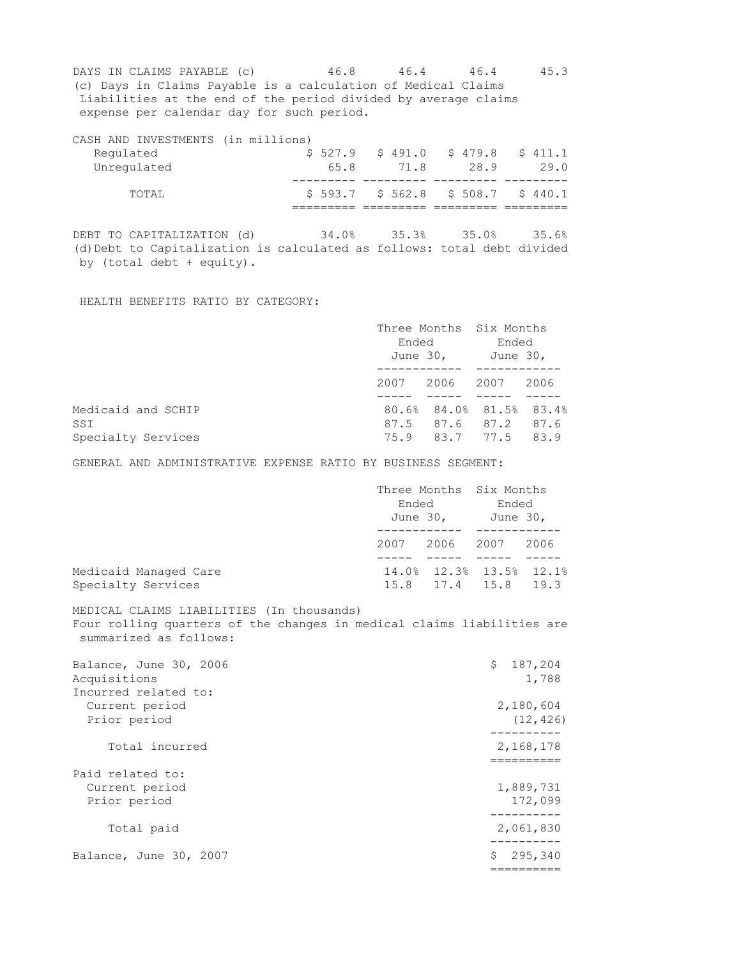DAYS IN CLAIMS PAYABLE (c) 46.8 46.4 46.4 45.3 (c) Days in Claims Payable is a calculation of Medical Claims Liabilities at the end of the period divided by average claims expense per calendar day for such period.

CASH AND INVESTMENTS (in millions) Regulated  $\begin{array}{ccccccccc} 5 & 527.9 & 5 & 491.0 & 5 & 479.8 & 5 & 411.1 \\ 10 & 65.8 & 71.8 & 28.9 & 29.0 \\ 29.0 & 21.8 & 21.8 & 22.9 & 23.0 \\ 31.8 & 32.9 & 32.0 & 32.0 & 32.0 \\ \end{array}$  Unregulated 65.8 71.8 28.9 29.0 --------- --------- --------- --------- TOTAL  $$593.7$  \$ 562.8 \$ 508.7 \$ 440.1 ========= ========= ========= =========

DEBT TO CAPITALIZATION (d) 34.0% 35.3% 35.0% 35.6% (d) Debt to Capitalization is calculated as follows: total debt divided by (total debt + equity).

HEALTH BENEFITS RATIO BY CATEGORY:

|                                                 |      | Three Months Six Months<br>Ended<br>June 30, June 30, |                                                                       | Ended |  |
|-------------------------------------------------|------|-------------------------------------------------------|-----------------------------------------------------------------------|-------|--|
|                                                 | 2007 | 2006 2007                                             |                                                                       | 2006  |  |
| Medicaid and SCHIP<br>SSI<br>Specialty Services |      |                                                       | 80.6% 84.0% 81.5% 83.4%<br>87.5 87.6 87.2 87.6<br>75.9 83.7 77.5 83.9 |       |  |

GENERAL AND ADMINISTRATIVE EXPENSE RATIO BY BUSINESS SEGMENT:

|                                             | Three Months Six Months<br>Ended<br>June 30, |           | Ended<br>June 30,                              |      |
|---------------------------------------------|----------------------------------------------|-----------|------------------------------------------------|------|
|                                             | 2007                                         | 2006 2007 |                                                | 2006 |
| Medicaid Managed Care<br>Specialty Services |                                              |           | 14.0% 12.3% 13.5% 12.1%<br>15.8 17.4 15.8 19.3 |      |

MEDICAL CLAIMS LIABILITIES (In thousands) Four rolling quarters of the changes in medical claims liabilities are summarized as follows:

| Balance, June 30, 2006<br>Acquisitions<br>Incurred related to: | \$187, 204<br>1,788    |
|----------------------------------------------------------------|------------------------|
| Current period<br>Prior period                                 | 2,180,604<br>(12, 426) |
| Total incurred                                                 | 2,168,178              |
| Paid related to:<br>Current period<br>Prior period             | 1,889,731<br>172,099   |
| Total paid                                                     | 2,061,830              |
| Balance, June 30, 2007                                         | S.<br>295,340          |